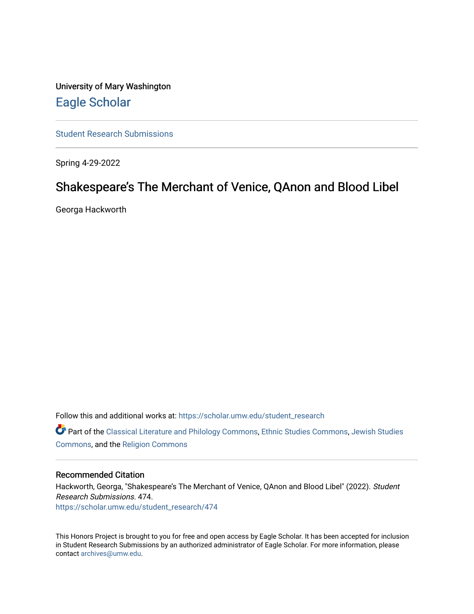University of Mary Washington [Eagle Scholar](https://scholar.umw.edu/) 

[Student Research Submissions](https://scholar.umw.edu/student_research) 

Spring 4-29-2022

# Shakespeare's The Merchant of Venice, QAnon and Blood Libel

Georga Hackworth

Follow this and additional works at: [https://scholar.umw.edu/student\\_research](https://scholar.umw.edu/student_research?utm_source=scholar.umw.edu%2Fstudent_research%2F474&utm_medium=PDF&utm_campaign=PDFCoverPages)

Part of the [Classical Literature and Philology Commons](https://network.bepress.com/hgg/discipline/451?utm_source=scholar.umw.edu%2Fstudent_research%2F474&utm_medium=PDF&utm_campaign=PDFCoverPages), [Ethnic Studies Commons,](https://network.bepress.com/hgg/discipline/570?utm_source=scholar.umw.edu%2Fstudent_research%2F474&utm_medium=PDF&utm_campaign=PDFCoverPages) [Jewish Studies](https://network.bepress.com/hgg/discipline/479?utm_source=scholar.umw.edu%2Fstudent_research%2F474&utm_medium=PDF&utm_campaign=PDFCoverPages) [Commons](https://network.bepress.com/hgg/discipline/479?utm_source=scholar.umw.edu%2Fstudent_research%2F474&utm_medium=PDF&utm_campaign=PDFCoverPages), and the [Religion Commons](https://network.bepress.com/hgg/discipline/538?utm_source=scholar.umw.edu%2Fstudent_research%2F474&utm_medium=PDF&utm_campaign=PDFCoverPages)

## Recommended Citation

Hackworth, Georga, "Shakespeare's The Merchant of Venice, QAnon and Blood Libel" (2022). Student Research Submissions. 474. [https://scholar.umw.edu/student\\_research/474](https://scholar.umw.edu/student_research/474?utm_source=scholar.umw.edu%2Fstudent_research%2F474&utm_medium=PDF&utm_campaign=PDFCoverPages)

This Honors Project is brought to you for free and open access by Eagle Scholar. It has been accepted for inclusion in Student Research Submissions by an authorized administrator of Eagle Scholar. For more information, please contact [archives@umw.edu](mailto:archives@umw.edu).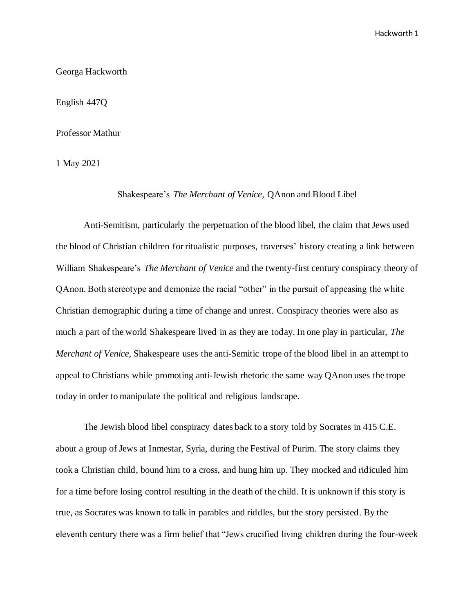Georga Hackworth

English 447Q

Professor Mathur

1 May 2021

## Shakespeare's *The Merchant of Venice*, QAnon and Blood Libel

Anti-Semitism, particularly the perpetuation of the blood libel, the claim that Jews used the blood of Christian children for ritualistic purposes, traverses' history creating a link between William Shakespeare's *The Merchant of Venice* and the twenty-first century conspiracy theory of QAnon. Both stereotype and demonize the racial "other" in the pursuit of appeasing the white Christian demographic during a time of change and unrest. Conspiracy theories were also as much a part of the world Shakespeare lived in as they are today. In one play in particular, *The Merchant of Venice*, Shakespeare uses the anti-Semitic trope of the blood libel in an attempt to appeal to Christians while promoting anti-Jewish rhetoric the same way QAnon uses the trope today in order to manipulate the political and religious landscape.

 The Jewish blood libel conspiracy dates back to a story told by Socrates in 415 C.E. about a group of Jews at Inmestar, Syria, during the Festival of Purim. The story claims they took a Christian child, bound him to a cross, and hung him up. They mocked and ridiculed him for a time before losing control resulting in the death of the child. It is unknown if this story is true, as Socrates was known to talk in parables and riddles, but the story persisted. By the eleventh century there was a firm belief that "Jews crucified living children during the four-week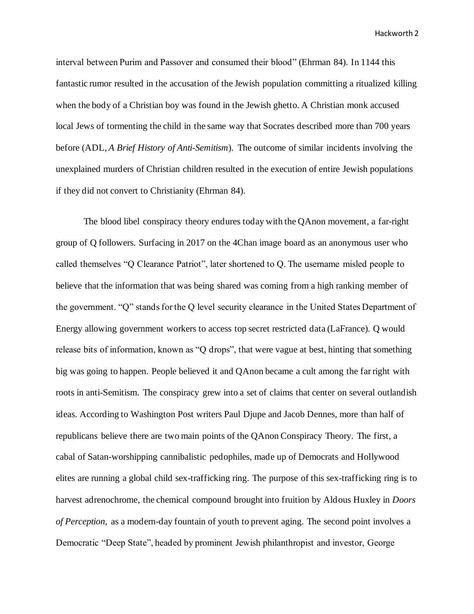interval between Purim and Passover and consumed their blood" (Ehrman 84). In 1144 this fantastic rumor resulted in the accusation of the Jewish population committing a ritualized killing when the body of a Christian boy was found in the Jewish ghetto. A Christian monk accused local Jews of tormenting the child in the same way that Socrates described more than 700 years before (ADL, *A Brief History of Anti-Semitism*). The outcome of similar incidents involving the unexplained murders of Christian children resulted in the execution of entire Jewish populations if they did not convert to Christianity (Ehrman 84).

The blood libel conspiracy theory endures today with the QAnon movement, a far-right group of Q followers. Surfacing in 2017 on the 4Chan image board as an anonymous user who called themselves "Q Clearance Patriot", later shortened to Q. The username misled people to believe that the information that was being shared was coming from a high ranking member of the government. "Q" stands for the Q level security clearance in the United States Department of Energy allowing government workers to access top secret restricted data (LaFrance). Q would release bits of information, known as "Q drops", that were vague at best, hinting that something big was going to happen. People believed it and QAnon became a cult among the far right with roots in anti-Semitism. The conspiracy grew into a set of claims that center on several outlandish ideas. According to Washington Post writers Paul Djupe and Jacob Dennes, more than half of republicans believe there are two main points of the QAnon Conspiracy Theory. The first, a cabal of Satan-worshipping cannibalistic pedophiles, made up of Democrats and Hollywood elites are running a global child sex-trafficking ring. The purpose of this sex-trafficking ring is to harvest adrenochrome, the chemical compound brought into fruition by Aldous Huxley in *Doors of Perception,* as a modern-day fountain of youth to prevent aging. The second point involves a Democratic "Deep State", headed by prominent Jewish philanthropist and investor, George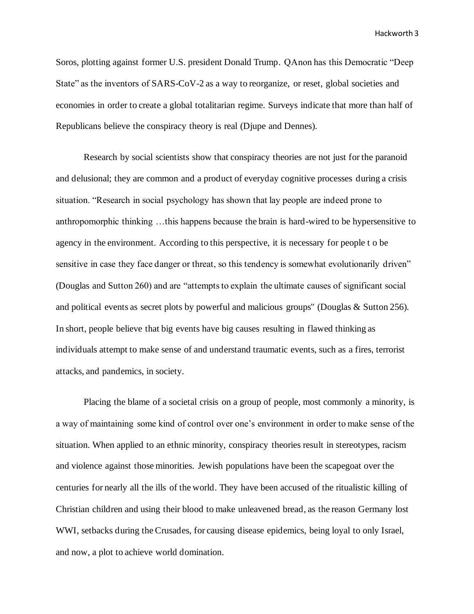Soros, plotting against former U.S. president Donald Trump. QAnon has this Democratic "Deep State" as the inventors of SARS-CoV-2 as a way to reorganize, or reset, global societies and economies in order to create a global totalitarian regime. Surveys indicate that more than half of Republicans believe the conspiracy theory is real (Djupe and Dennes).

 Research by social scientists show that conspiracy theories are not just for the paranoid and delusional; they are common and a product of everyday cognitive processes during a crisis situation. "Research in social psychology has shown that lay people are indeed prone to anthropomorphic thinking …this happens because the brain is hard-wired to be hypersensitive to agency in the environment. According to this perspective, it is necessary for people t o be sensitive in case they face danger or threat, so this tendency is somewhat evolutionarily driven" (Douglas and Sutton 260) and are "attempts to explain the ultimate causes of significant social and political events as secret plots by powerful and malicious groups'' (Douglas & Sutton 256). In short, people believe that big events have big causes resulting in flawed thinking as individuals attempt to make sense of and understand traumatic events, such as a fires, terrorist attacks, and pandemics, in society.

 Placing the blame of a societal crisis on a group of people, most commonly a minority, is a way of maintaining some kind of control over one's environment in order to make sense of the situation. When applied to an ethnic minority, conspiracy theories result in stereotypes, racism and violence against those minorities. Jewish populations have been the scapegoat over the centuries for nearly all the ills of the world. They have been accused of the ritualistic killing of Christian children and using their blood to make unleavened bread, as the reason Germany lost WWI, setbacks during the Crusades, for causing disease epidemics, being loyal to only Israel, and now, a plot to achieve world domination.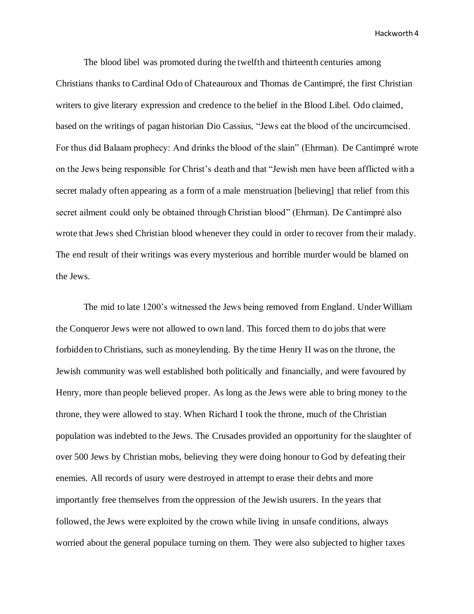The blood libel was promoted during the twelfth and thirteenth centuries among Christians thanks to Cardinal Odo of Chateauroux and Thomas de Cantimpré, the first Christian writers to give literary expression and credence to the belief in the Blood Libel. Odo claimed, based on the writings of pagan historian Dio Cassius, "Jews eat the blood of the uncircumcised. For thus did Balaam prophecy: And drinks the blood of the slain" (Ehrman). De Cantimpré wrote on the Jews being responsible for Christ's death and that "Jewish men have been afflicted with a secret malady often appearing as a form of a male menstruation [believing] that relief from this secret ailment could only be obtained through Christian blood" (Ehrman). De Cantimpré also wrote that Jews shed Christian blood whenever they could in order to recover from their malady. The end result of their writings was every mysterious and horrible murder would be blamed on the Jews.

The mid to late 1200's witnessed the Jews being removed from England. Under William the Conqueror Jews were not allowed to own land. This forced them to do jobs that were forbidden to Christians, such as moneylending. By the time Henry II was on the throne, the Jewish community was well established both politically and financially, and were favoured by Henry, more than people believed proper. As long as the Jews were able to bring money to the throne, they were allowed to stay. When Richard I took the throne, much of the Christian population was indebted to the Jews. The Crusades provided an opportunity for the slaughter of over 500 Jews by Christian mobs, believing they were doing honour to God by defeating their enemies. All records of usury were destroyed in attempt to erase their debts and more importantly free themselves from the oppression of the Jewish usurers. In the years that followed, the Jews were exploited by the crown while living in unsafe conditions, always worried about the general populace turning on them. They were also subjected to higher taxes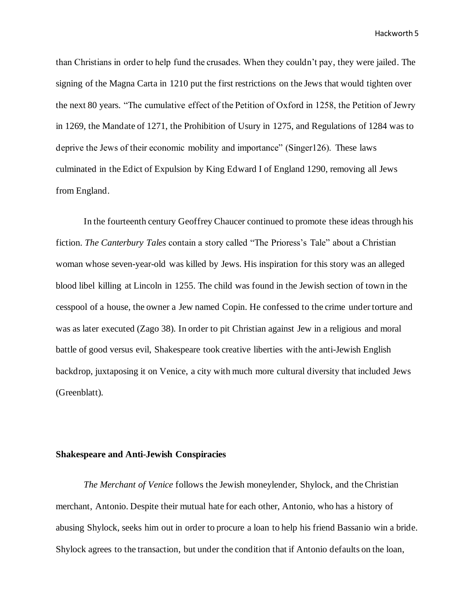than Christians in order to help fund the crusades. When they couldn't pay, they were jailed. The signing of the Magna Carta in 1210 put the first restrictions on the Jews that would tighten over the next 80 years. "The cumulative effect of the Petition of Oxford in 1258, the Petition of Jewry in 1269, the Mandate of 1271, the Prohibition of Usury in 1275, and Regulations of 1284 was to deprive the Jews of their economic mobility and importance" (Singer126). These laws culminated in the Edict of Expulsion by King Edward I of England 1290, removing all Jews from England.

In the fourteenth century Geoffrey Chaucer continued to promote these ideas through his fiction. *The Canterbury Tales* contain a story called "The Prioress's Tale" about a Christian woman whose seven-year-old was killed by Jews. His inspiration for this story was an alleged blood libel killing at Lincoln in 1255. The child was found in the Jewish section of town in the cesspool of a house, the owner a Jew named Copin. He confessed to the crime under torture and was as later executed (Zago 38). In order to pit Christian against Jew in a religious and moral battle of good versus evil, Shakespeare took creative liberties with the anti-Jewish English backdrop, juxtaposing it on Venice, a city with much more cultural diversity that included Jews (Greenblatt).

## **Shakespeare and Anti-Jewish Conspiracies**

*The Merchant of Venice* follows the Jewish moneylender, Shylock, and the Christian merchant, Antonio. Despite their mutual hate for each other, Antonio, who has a history of abusing Shylock, seeks him out in order to procure a loan to help his friend Bassanio win a bride. Shylock agrees to the transaction, but under the condition that if Antonio defaults on the loan,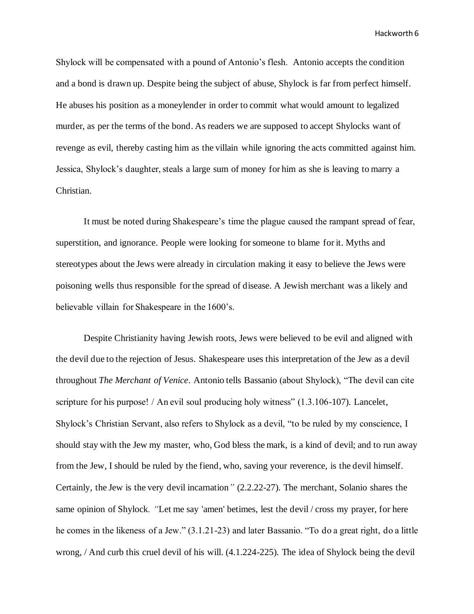Shylock will be compensated with a pound of Antonio's flesh. Antonio accepts the condition and a bond is drawn up. Despite being the subject of abuse, Shylock is far from perfect himself. He abuses his position as a moneylender in order to commit what would amount to legalized murder, as per the terms of the bond. As readers we are supposed to accept Shylocks want of revenge as evil, thereby casting him as the villain while ignoring the acts committed against him. Jessica, Shylock's daughter, steals a large sum of money for him as she is leaving to marry a Christian.

It must be noted during Shakespeare's time the plague caused the rampant spread of fear, superstition, and ignorance. People were looking for someone to blame for it. Myths and stereotypes about the Jews were already in circulation making it easy to believe the Jews were poisoning wells thus responsible for the spread of disease. A Jewish merchant was a likely and believable villain for Shakespeare in the 1600's.

Despite Christianity having Jewish roots, Jews were believed to be evil and aligned with the devil due to the rejection of Jesus. Shakespeare uses this interpretation of the Jew as a devil throughout *The Merchant of Venice*. Antonio tells Bassanio (about Shylock), "The devil can cite scripture for his purpose! / An evil soul producing holy witness" (1.3.106-107). Lancelet, Shylock's Christian Servant, also refers to Shylock as a devil, "to be ruled by my conscience, I should stay with the Jew my master, who, God bless the mark, is a kind of devil; and to run away from the Jew, I should be ruled by the fiend, who, saving your reverence, is the devil himself. Certainly, the Jew is the very devil incarnation*"* (2.2.22-27). The merchant, Solanio shares the same opinion of Shylock*. "*Let me say 'amen' betimes, lest the devil / cross my prayer, for here he comes in the likeness of a Jew." (3.1.21-23) and later Bassanio. "To do a great right, do a little wrong, / And curb this cruel devil of his will. (4.1.224-225). The idea of Shylock being the devil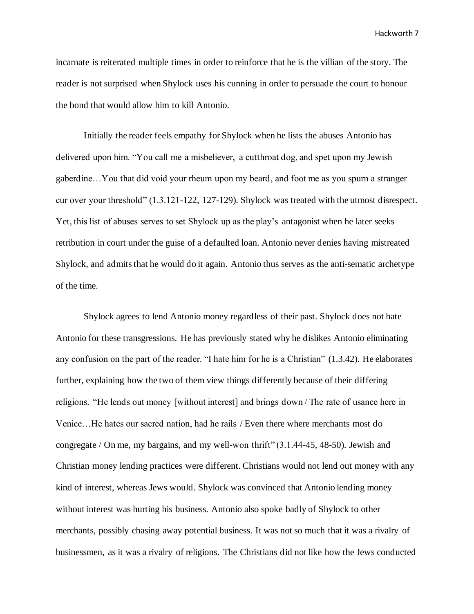incarnate is reiterated multiple times in order to reinforce that he is the villian of the story. The reader is not surprised when Shylock uses his cunning in order to persuade the court to honour the bond that would allow him to kill Antonio.

Initially the reader feels empathy for Shylock when he lists the abuses Antonio has delivered upon him. "You call me a misbeliever, a cutthroat dog, and spet upon my Jewish gaberdine…You that did void your rheum upon my beard, and foot me as you spurn a stranger cur over your threshold" (1.3.121-122, 127-129). Shylock was treated with the utmost disrespect. Yet, this list of abuses serves to set Shylock up as the play's antagonist when he later seeks retribution in court under the guise of a defaulted loan. Antonio never denies having mistreated Shylock, and admits that he would do it again. Antonio thus serves as the anti-sematic archetype of the time.

Shylock agrees to lend Antonio money regardless of their past. Shylock does not hate Antonio for these transgressions. He has previously stated why he dislikes Antonio eliminating any confusion on the part of the reader. "I hate him for he is a Christian" (1.3.42). He elaborates further, explaining how the two of them view things differently because of their differing religions. "He lends out money [without interest] and brings down / The rate of usance here in Venice…He hates our sacred nation, had he rails / Even there where merchants most do congregate / On me, my bargains, and my well-won thrift" (3.1.44-45, 48-50). Jewish and Christian money lending practices were different. Christians would not lend out money with any kind of interest, whereas Jews would. Shylock was convinced that Antonio lending money without interest was hurting his business. Antonio also spoke badly of Shylock to other merchants, possibly chasing away potential business. It was not so much that it was a rivalry of businessmen, as it was a rivalry of religions. The Christians did not like how the Jews conducted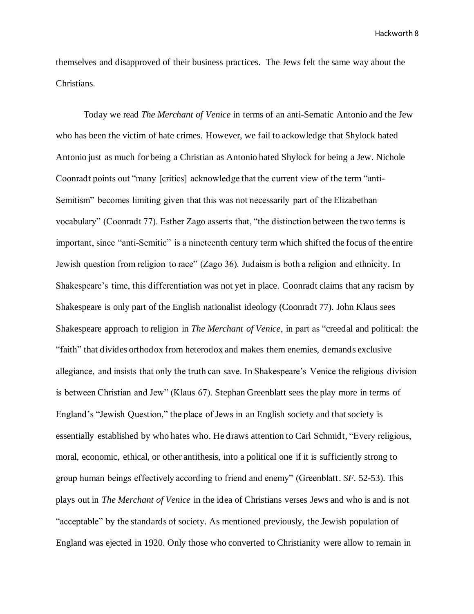themselves and disapproved of their business practices. The Jews felt the same way about the Christians.

Today we read *The Merchant of Venice* in terms of an anti-Sematic Antonio and the Jew who has been the victim of hate crimes. However, we fail to ackowledge that Shylock hated Antonio just as much for being a Christian as Antonio hated Shylock for being a Jew. Nichole Coonradt points out "many [critics] acknowledge that the current view of the term "anti-Semitism" becomes limiting given that this was not necessarily part of the Elizabethan vocabulary" (Coonradt 77). Esther Zago asserts that, "the distinction between the two terms is important, since "anti-Semitic" is a nineteenth century term which shifted the focus of the entire Jewish question from religion to race" (Zago 36). Judaism is both a religion and ethnicity. In Shakespeare's time, this differentiation was not yet in place. Coonradt claims that any racism by Shakespeare is only part of the English nationalist ideology (Coonradt 77). John Klaus sees Shakespeare approach to religion in *The Merchant of Venice*, in part as "creedal and political: the "faith" that divides orthodox from heterodox and makes them enemies, demands exclusive allegiance, and insists that only the truth can save. In Shakespeare's Venice the religious division is between Christian and Jew" (Klaus 67). Stephan Greenblatt sees the play more in terms of England's "Jewish Question," the place of Jews in an English society and that society is essentially established by who hates who. He draws attention to Carl Schmidt, "Every religious, moral, economic, ethical, or other antithesis, into a political one if it is sufficiently strong to group human beings effectively according to friend and enemy" (Greenblatt. *SF.* 52-53). This plays out in *The Merchant of Venice* in the idea of Christians verses Jews and who is and is not "acceptable" by the standards of society. As mentioned previously, the Jewish population of England was ejected in 1920. Only those who converted to Christianity were allow to remain in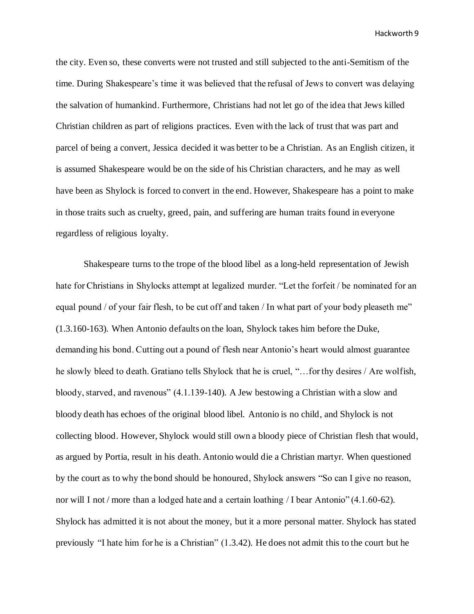the city. Even so, these converts were not trusted and still subjected to the anti-Semitism of the time. During Shakespeare's time it was believed that the refusal of Jews to convert was delaying the salvation of humankind. Furthermore, Christians had not let go of the idea that Jews killed Christian children as part of religions practices. Even with the lack of trust that was part and parcel of being a convert, Jessica decided it was better to be a Christian. As an English citizen, it is assumed Shakespeare would be on the side of his Christian characters, and he may as well have been as Shylock is forced to convert in the end. However, Shakespeare has a point to make in those traits such as cruelty, greed, pain, and suffering are human traits found in everyone regardless of religious loyalty.

Shakespeare turns to the trope of the blood libel as a long-held representation of Jewish hate for Christians in Shylocks attempt at legalized murder. "Let the forfeit / be nominated for an equal pound / of your fair flesh, to be cut off and taken / In what part of your body pleaseth me" (1.3.160-163). When Antonio defaults on the loan, Shylock takes him before the Duke, demanding his bond. Cutting out a pound of flesh near Antonio's heart would almost guarantee he slowly bleed to death. Gratiano tells Shylock that he is cruel, "…for thy desires / Are wolfish, bloody, starved, and ravenous" (4.1.139-140). A Jew bestowing a Christian with a slow and bloody death has echoes of the original blood libel. Antonio is no child, and Shylock is not collecting blood. However, Shylock would still own a bloody piece of Christian flesh that would, as argued by Portia, result in his death. Antonio would die a Christian martyr. When questioned by the court as to why the bond should be honoured, Shylock answers "So can I give no reason, nor will I not / more than a lodged hate and a certain loathing / I bear Antonio" (4.1.60-62). Shylock has admitted it is not about the money, but it a more personal matter. Shylock has stated previously "I hate him for he is a Christian" (1.3.42). He does not admit this to the court but he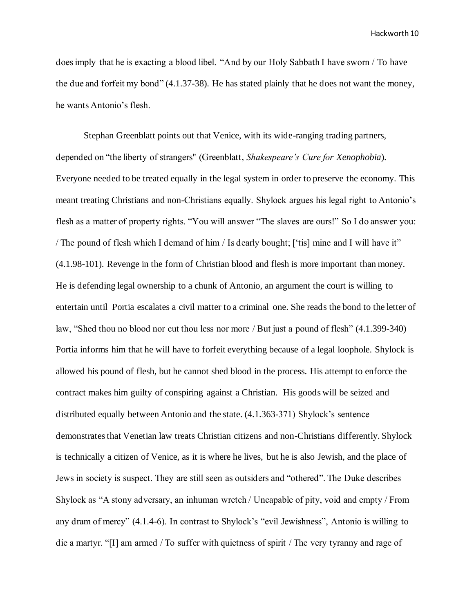does imply that he is exacting a blood libel. "And by our Holy Sabbath I have sworn / To have the due and forfeit my bond" (4.1.37-38). He has stated plainly that he does not want the money, he wants Antonio's flesh.

Stephan Greenblatt points out that Venice, with its wide-ranging trading partners, depended on "the liberty of strangers'' (Greenblatt, *Shakespeare's Cure for Xenophobia*). Everyone needed to be treated equally in the legal system in order to preserve the economy. This meant treating Christians and non-Christians equally. Shylock argues his legal right to Antonio's flesh as a matter of property rights. "You will answer "The slaves are ours!" So I do answer you: / The pound of flesh which I demand of him / Is dearly bought; ['tis] mine and I will have it" (4.1.98-101). Revenge in the form of Christian blood and flesh is more important than money. He is defending legal ownership to a chunk of Antonio, an argument the court is willing to entertain until Portia escalates a civil matter to a criminal one. She reads the bond to the letter of law, "Shed thou no blood nor cut thou less nor more / But just a pound of flesh" (4.1.399-340) Portia informs him that he will have to forfeit everything because of a legal loophole. Shylock is allowed his pound of flesh, but he cannot shed blood in the process. His attempt to enforce the contract makes him guilty of conspiring against a Christian. His goods will be seized and distributed equally between Antonio and the state. (4.1.363-371) Shylock's sentence demonstrates that Venetian law treats Christian citizens and non-Christians differently. Shylock is technically a citizen of Venice, as it is where he lives, but he is also Jewish, and the place of Jews in society is suspect. They are still seen as outsiders and "othered". The Duke describes Shylock as "A stony adversary, an inhuman wretch / Uncapable of pity, void and empty / From any dram of mercy" (4.1.4-6). In contrast to Shylock's "evil Jewishness", Antonio is willing to die a martyr. "[I] am armed / To suffer with quietness of spirit / The very tyranny and rage of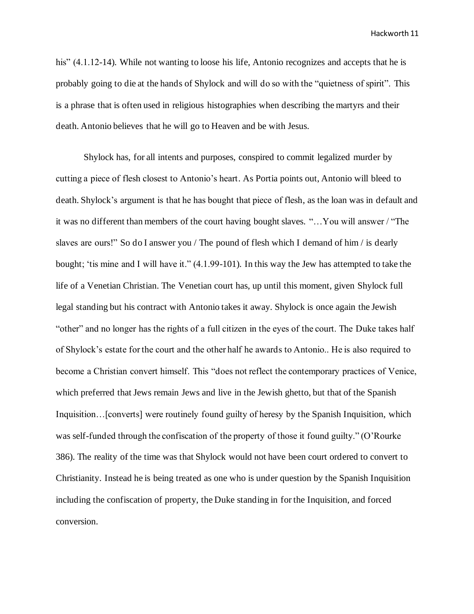his" (4.1.12-14). While not wanting to loose his life, Antonio recognizes and accepts that he is probably going to die at the hands of Shylock and will do so with the "quietness of spirit". This is a phrase that is often used in religious histographies when describing the martyrs and their death. Antonio believes that he will go to Heaven and be with Jesus.

Shylock has, for all intents and purposes, conspired to commit legalized murder by cutting a piece of flesh closest to Antonio's heart. As Portia points out, Antonio will bleed to death. Shylock's argument is that he has bought that piece of flesh, as the loan was in default and it was no different than members of the court having bought slaves. "…You will answer / "The slaves are ours!" So do I answer you / The pound of flesh which I demand of him / is dearly bought; 'tis mine and I will have it." (4.1.99-101). In this way the Jew has attempted to take the life of a Venetian Christian. The Venetian court has, up until this moment, given Shylock full legal standing but his contract with Antonio takes it away. Shylock is once again the Jewish "other" and no longer has the rights of a full citizen in the eyes of the court. The Duke takes half of Shylock's estate for the court and the other half he awards to Antonio.. He is also required to become a Christian convert himself. This "does not reflect the contemporary practices of Venice, which preferred that Jews remain Jews and live in the Jewish ghetto, but that of the Spanish Inquisition…[converts] were routinely found guilty of heresy by the Spanish Inquisition, which was self-funded through the confiscation of the property of those it found guilty." (O'Rourke 386). The reality of the time was that Shylock would not have been court ordered to convert to Christianity. Instead he is being treated as one who is under question by the Spanish Inquisition including the confiscation of property, the Duke standing in for the Inquisition, and forced conversion.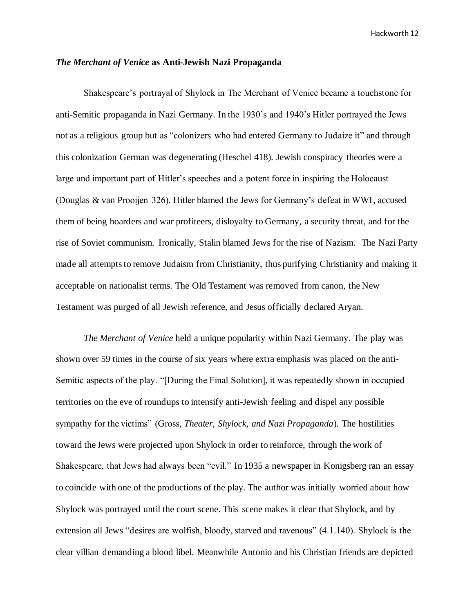#### *The Merchant of Venice* **as Anti-Jewish Nazi Propaganda**

 Shakespeare's portrayal of Shylock in The Merchant of Venice became a touchstone for anti-Semitic propaganda in Nazi Germany. In the 1930's and 1940's Hitler portrayed the Jews not as a religious group but as "colonizers who had entered Germany to Judaize it" and through this colonization German was degenerating (Heschel 418). Jewish conspiracy theories were a large and important part of Hitler's speeches and a potent force in inspiring the Holocaust (Douglas & van Prooijen 326). Hitler blamed the Jews for Germany's defeat in WWI, accused them of being hoarders and war profiteers, disloyalty to Germany, a security threat, and for the rise of Soviet communism. Ironically, Stalin blamed Jews for the rise of Nazism. The Nazi Party made all attempts to remove Judaism from Christianity, thus purifying Christianity and making it acceptable on nationalist terms. The Old Testament was removed from canon, the New Testament was purged of all Jewish reference, and Jesus officially declared Aryan.

 *The Merchant of Venice* held a unique popularity within Nazi Germany. The play was shown over 59 times in the course of six years where extra emphasis was placed on the anti-Semitic aspects of the play. "[During the Final Solution], it was repeatedly shown in occupied territories on the eve of roundups to intensify anti-Jewish feeling and dispel any possible sympathy for the victims" (Gross, *Theater, Shylock, and Nazi Propaganda*). The hostilities toward the Jews were projected upon Shylock in order to reinforce, through the work of Shakespeare, that Jews had always been "evil." In 1935 a newspaper in Konigsberg ran an essay to coincide with one of the productions of the play. The author was initially worried about how Shylock was portrayed until the court scene. This scene makes it clear that Shylock, and by extension all Jews "desires are wolfish, bloody, starved and ravenous" (4.1.140). Shylock is the clear villian demanding a blood libel. Meanwhile Antonio and his Christian friends are depicted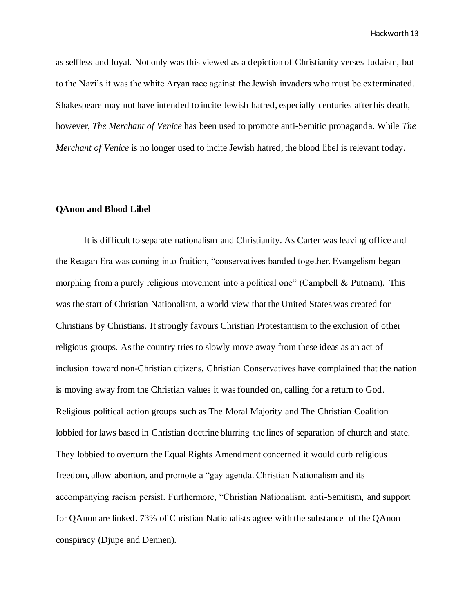as selfless and loyal. Not only was this viewed as a depiction of Christianity verses Judaism, but to the Nazi's it was the white Aryan race against the Jewish invaders who must be exterminated. Shakespeare may not have intended to incite Jewish hatred, especially centuries after his death, however, *The Merchant of Venice* has been used to promote anti-Semitic propaganda. While *The Merchant of Venice* is no longer used to incite Jewish hatred, the blood libel is relevant today.

## **QAnon and Blood Libel**

It is difficult to separate nationalism and Christianity. As Carter was leaving office and the Reagan Era was coming into fruition, "conservatives banded together. Evangelism began morphing from a purely religious movement into a political one" (Campbell & Putnam). This was the start of Christian Nationalism, a world view that the United States was created for Christians by Christians. It strongly favours Christian Protestantism to the exclusion of other religious groups. As the country tries to slowly move away from these ideas as an act of inclusion toward non-Christian citizens, Christian Conservatives have complained that the nation is moving away from the Christian values it was founded on, calling for a return to God. Religious political action groups such as The Moral Majority and The Christian Coalition lobbied for laws based in Christian doctrine blurring the lines of separation of church and state. They lobbied to overturn the Equal Rights Amendment concerned it would curb religious freedom, allow abortion, and promote a "gay agenda. Christian Nationalism and its accompanying racism persist. Furthermore, "Christian Nationalism, anti-Semitism, and support for QAnon are linked. 73% of Christian Nationalists agree with the substance of the QAnon conspiracy (Djupe and Dennen).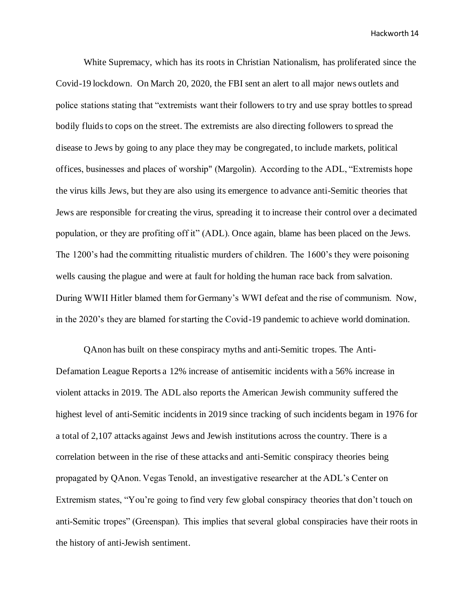White Supremacy, which has its roots in Christian Nationalism, has proliferated since the Covid-19 lockdown. On March 20, 2020, the FBI sent an alert to all major news outlets and police stations stating that "extremists want their followers to try and use spray bottles to spread bodily fluids to cops on the street. The extremists are also directing followers to spread the disease to Jews by going to any place they may be congregated, to include markets, political offices, businesses and places of worship" (Margolin). According to the ADL, "Extremists hope the virus kills Jews, but they are also using its emergence to advance anti-Semitic theories that Jews are responsible for creating the virus, spreading it to increase their control over a decimated population, or they are profiting off it" (ADL). Once again, blame has been placed on the Jews. The 1200's had the committing ritualistic murders of children. The 1600's they were poisoning wells causing the plague and were at fault for holding the human race back from salvation. During WWII Hitler blamed them for Germany's WWI defeat and the rise of communism. Now, in the 2020's they are blamed for starting the Covid-19 pandemic to achieve world domination.

QAnon has built on these conspiracy myths and anti-Semitic tropes. The Anti-Defamation League Reports a 12% increase of antisemitic incidents with a 56% increase in violent attacks in 2019. The ADL also reports the American Jewish community suffered the highest level of anti-Semitic incidents in 2019 since tracking of such incidents begam in 1976 for a total of 2,107 attacks against Jews and Jewish institutions across the country. There is a correlation between in the rise of these attacks and anti-Semitic conspiracy theories being propagated by QAnon. Vegas Tenold, an investigative researcher at the ADL's Center on Extremism states, "You're going to find very few global conspiracy theories that don't touch on anti-Semitic tropes" (Greenspan). This implies that several global conspiracies have their roots in the history of anti-Jewish sentiment.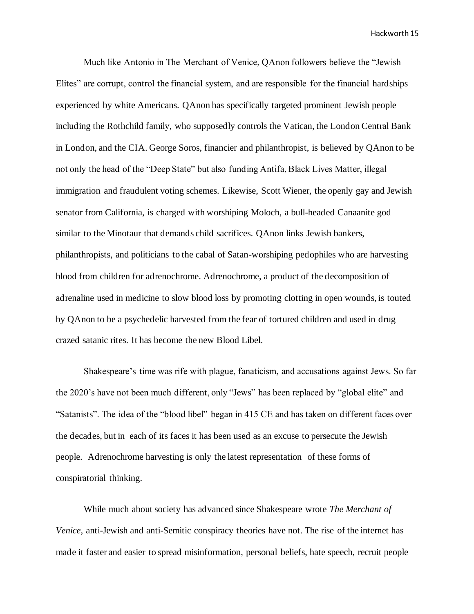Much like Antonio in The Merchant of Venice, QAnon followers believe the "Jewish Elites" are corrupt, control the financial system, and are responsible for the financial hardships experienced by white Americans. QAnon has specifically targeted prominent Jewish people including the Rothchild family, who supposedly controls the Vatican, the London Central Bank in London, and the CIA. George Soros, financier and philanthropist, is believed by QAnon to be not only the head of the "Deep State" but also funding Antifa, Black Lives Matter, illegal immigration and fraudulent voting schemes. Likewise, Scott Wiener, the openly gay and Jewish senator from California, is charged with worshiping Moloch, a bull-headed Canaanite god similar to the Minotaur that demands child sacrifices. QAnon links Jewish bankers, philanthropists, and politicians to the cabal of Satan-worshiping pedophiles who are harvesting blood from children for adrenochrome. Adrenochrome, a product of the decomposition of adrenaline used in medicine to slow blood loss by promoting clotting in open wounds, is touted by QAnon to be a psychedelic harvested from the fear of tortured children and used in drug crazed satanic rites. It has become the new Blood Libel.

Shakespeare's time was rife with plague, fanaticism, and accusations against Jews. So far the 2020's have not been much different, only "Jews" has been replaced by "global elite" and "Satanists". The idea of the "blood libel" began in 415 CE and has taken on different faces over the decades, but in each of its faces it has been used as an excuse to persecute the Jewish people. Adrenochrome harvesting is only the latest representation of these forms of conspiratorial thinking.

 While much about society has advanced since Shakespeare wrote *The Merchant of Venice*, anti-Jewish and anti-Semitic conspiracy theories have not. The rise of the internet has made it faster and easier to spread misinformation, personal beliefs, hate speech, recruit people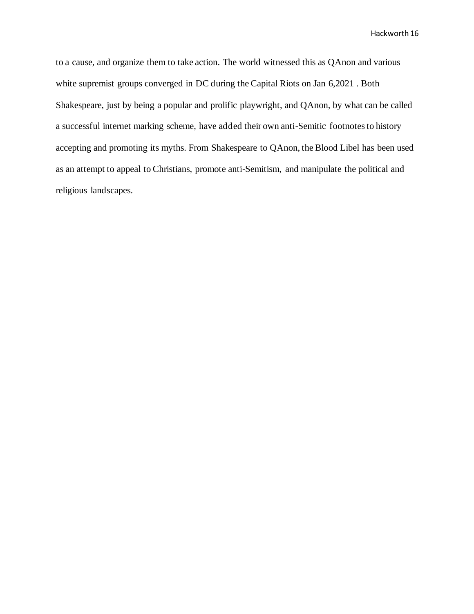to a cause, and organize them to take action. The world witnessed this as QAnon and various white supremist groups converged in DC during the Capital Riots on Jan 6,2021 . Both Shakespeare, just by being a popular and prolific playwright, and QAnon, by what can be called a successful internet marking scheme, have added their own anti-Semitic footnotes to history accepting and promoting its myths. From Shakespeare to QAnon, the Blood Libel has been used as an attempt to appeal to Christians, promote anti-Semitism, and manipulate the political and religious landscapes.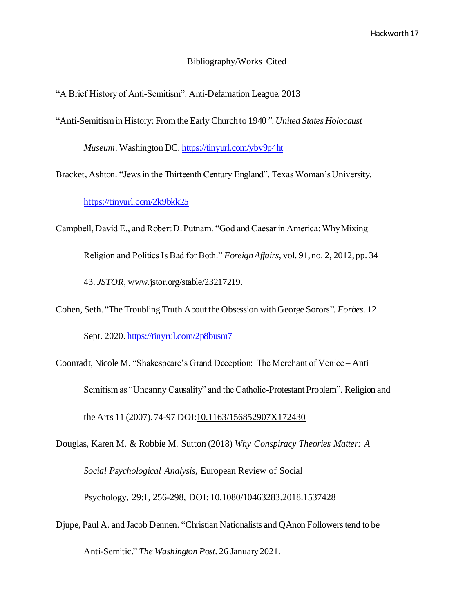### Bibliography/Works Cited

"A Brief History of Anti-Semitism". Anti-Defamation League. 2013

"Anti-Semitism in History: From the Early Church to 1940*". United States Holocaust*

*Museum*. Washington DC. <https://tinyurl.com/ybv9p4ht>

Bracket, Ashton. "Jews in the Thirteenth Century England". Texas Woman's University.

<https://tinyurl.com/2k9bkk25>

Campbell, David E., and Robert D. Putnam. "God and Caesar in America: Why Mixing Religion and Politics Is Bad for Both." *Foreign Affairs*, vol. 91, no. 2, 2012, pp. 34 43. *JSTOR*[, www.jstor.org/stable/23217219](http://www.jstor.org/stable/23217219).

Cohen, Seth. "The Troubling Truth About the Obsession with George Sorors"*. Forbes*. 12

Sept. 2020. <https://tinyrul.com/2p8busm7>

Coonradt, Nicole M. "Shakespeare's Grand Deception: The Merchant of Venice – Anti Semitism as "Uncanny Causality" and the Catholic-Protestant Problem". Religion and the Arts 11 (2007). 74-97 DOI: 10.1163/156852907X172430

Douglas, Karen M. & Robbie M. Sutton (2018) *Why Conspiracy Theories Matter: A Social Psychological Analysis*, European Review of Social Psychology, 29:1, 256-298, DOI: [10.1080/10463283.2018.1537428](https://doi.org/10.1080/10463283.2018.1537428)

Djupe, Paul A. and Jacob Dennen. "Christian Nationalists and QAnon Followers tend to be Anti-Semitic." *The Washington Post*. 26 January 2021.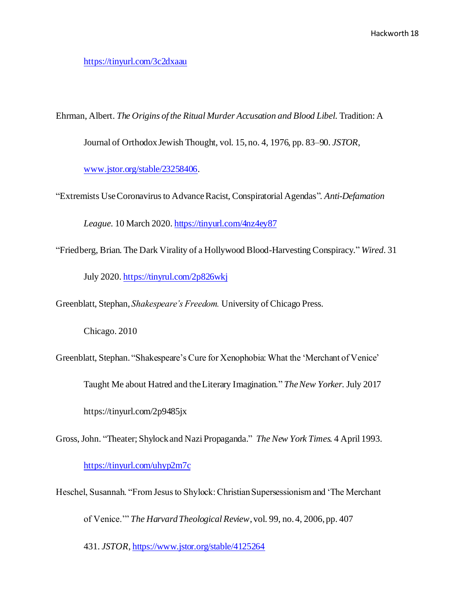## <https://tinyurl.com/3c2dxaau>

Ehrman, Albert. *The Origins of the Ritual Murder Accusation and Blood Libel.* Tradition: A

Journal of Orthodox Jewish Thought, vol. 15, no. 4, 1976, pp. 83–90. *JSTOR*,

[www.jstor.org/stable/23258406](http://www.jstor.org/stable/23258406).

"Extremists Use Coronavirus to Advance Racist, Conspiratorial Agendas"*. Anti-Defamation*

*League.* 10 March 2020. <https://tinyurl.com/4nz4ey87>

"Friedberg, Brian. The Dark Virality of a Hollywood Blood-Harvesting Conspiracy." *Wired*. 31

July 2020. <https://tinyrul.com/2p826wkj>

Greenblatt, Stephan, *Shakespeare's Freedom.* University of Chicago Press.

Chicago. 2010

Greenblatt, Stephan. "Shakespeare's Cure for Xenophobia: What the 'Merchant of Venice'

Taught Me about Hatred and the Literary Imagination." *The New Yorker.* July 2017

https://tinyurl.com/2p9485jx

Gross, John. "Theater; Shylock and Nazi Propaganda*.*" *The New York Times.* 4 April 1993.

# <https://tinyurl.com/uhyp2m7c>

Heschel, Susannah. "From Jesus to Shylock: Christian Supersessionism and 'The Merchant of Venice.'" *The Harvard Theological Review*, vol. 99, no. 4, 2006, pp. 407

431. *JSTOR*[, https://www.jstor.org/stable/4125264](https://www.jstor.org/stable/4125264)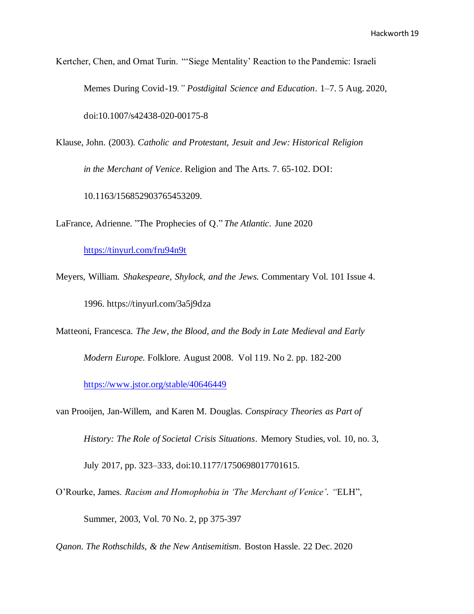Kertcher, Chen, and Ornat Turin. "'Siege Mentality' Reaction to the Pandemic: Israeli Memes During Covid-19*." Postdigital Science and Education*. 1–7. 5 Aug. 2020, doi:10.1007/s42438-020-00175-8

Klause, John. (2003). *Catholic and Protestant, Jesuit and Jew: Historical Religion in the Merchant of Venice*. Religion and The Arts. 7. 65-102. DOI: 10.1163/156852903765453209.

LaFrance, Adrienne. "The Prophecies of Q." *The Atlantic*. June 2020

<https://tinyurl.com/fru94n9t>

Meyers, William. *Shakespeare, Shylock, and the Jews.* Commentary Vol. 101 Issue 4. 1996. https://tinyurl.com/3a5j9dza

Matteoni, Francesca. *The Jew, the Blood, and the Body in Late Medieval and Early*

*Modern Europe.* Folklore. August 2008. Vol 119. No 2. pp. 182-200

<https://www.jstor.org/stable/40646449>

van Prooijen, Jan-Willem, and Karen M. Douglas. *Conspiracy Theories as Part of History: The Role of Societal Crisis Situations*. Memory Studies, vol. 10, no. 3, July 2017, pp. 323–333, doi:10.1177/1750698017701615.

O'Rourke, James. *Racism and Homophobia in 'The Merchant of Venice'. "*ELH", Summer, 2003, Vol. 70 No. 2, pp 375-397

*Qanon. The Rothschilds, & the New Antisemitism.* Boston Hassle. 22 Dec. 2020